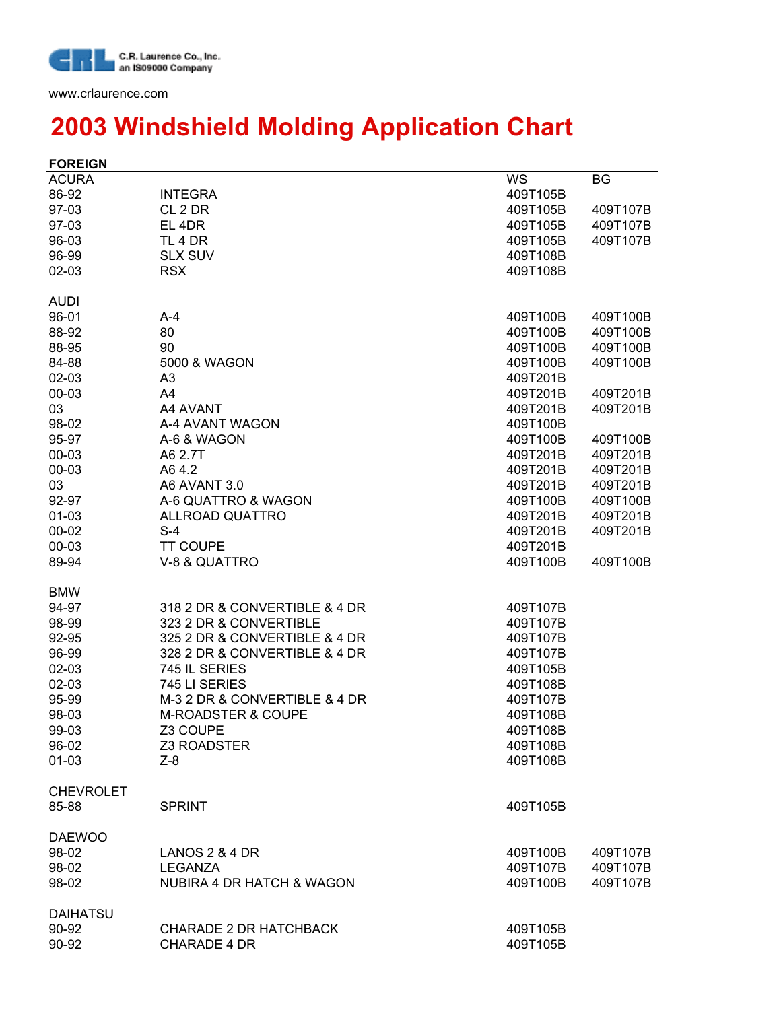

www.crlaurence.com

## **2003 Windshield Molding Application Chart**

| <b>FOREIGN</b>   |                                      |          |          |
|------------------|--------------------------------------|----------|----------|
| <b>ACURA</b>     |                                      | WS       | BG       |
| 86-92            | <b>INTEGRA</b>                       | 409T105B |          |
| 97-03            | CL <sub>2</sub> DR                   | 409T105B | 409T107B |
| 97-03            | EL 4DR                               | 409T105B | 409T107B |
| 96-03            | TL <sub>4</sub> DR                   | 409T105B | 409T107B |
| 96-99            | <b>SLX SUV</b>                       | 409T108B |          |
| 02-03            | <b>RSX</b>                           | 409T108B |          |
|                  |                                      |          |          |
| <b>AUDI</b>      |                                      |          |          |
| 96-01            | $A-4$                                | 409T100B | 409T100B |
| 88-92            | 80                                   | 409T100B | 409T100B |
| 88-95            | 90                                   | 409T100B | 409T100B |
| 84-88            | 5000 & WAGON                         | 409T100B | 409T100B |
| $02 - 03$        | A <sub>3</sub>                       | 409T201B |          |
| 00-03            | A4                                   | 409T201B | 409T201B |
| 03               | A4 AVANT                             | 409T201B | 409T201B |
| 98-02            | A-4 AVANT WAGON                      | 409T100B |          |
| 95-97            | A-6 & WAGON                          | 409T100B | 409T100B |
| 00-03            | A6 2.7T                              | 409T201B | 409T201B |
| 00-03            | A64.2                                | 409T201B | 409T201B |
| 03               | A6 AVANT 3.0                         | 409T201B | 409T201B |
| 92-97            | A-6 QUATTRO & WAGON                  | 409T100B | 409T100B |
| $01 - 03$        | <b>ALLROAD QUATTRO</b>               | 409T201B | 409T201B |
| $00 - 02$        | $S-4$                                | 409T201B | 409T201B |
| 00-03            | <b>TT COUPE</b>                      | 409T201B |          |
| 89-94            | V-8 & QUATTRO                        | 409T100B | 409T100B |
| <b>BMW</b>       |                                      |          |          |
| 94-97            | 318 2 DR & CONVERTIBLE & 4 DR        | 409T107B |          |
| 98-99            | 323 2 DR & CONVERTIBLE               | 409T107B |          |
| 92-95            | 325 2 DR & CONVERTIBLE & 4 DR        | 409T107B |          |
| 96-99            | 328 2 DR & CONVERTIBLE & 4 DR        | 409T107B |          |
| $02 - 03$        | 745 IL SERIES                        | 409T105B |          |
| 02-03            | 745 LI SERIES                        | 409T108B |          |
| 95-99            | M-3 2 DR & CONVERTIBLE & 4 DR        | 409T107B |          |
| 98-03            | <b>M-ROADSTER &amp; COUPE</b>        | 409T108B |          |
| 99-03            | Z3 COUPE                             | 409T108B |          |
| 96-02            | <b>Z3 ROADSTER</b>                   | 409T108B |          |
| $01 - 03$        | $Z-8$                                | 409T108B |          |
|                  |                                      |          |          |
| <b>CHEVROLET</b> |                                      |          |          |
| 85-88            | <b>SPRINT</b>                        | 409T105B |          |
| <b>DAEWOO</b>    |                                      |          |          |
| 98-02            | <b>LANOS 2 &amp; 4 DR</b>            | 409T100B | 409T107B |
| 98-02            | <b>LEGANZA</b>                       | 409T107B | 409T107B |
| 98-02            | <b>NUBIRA 4 DR HATCH &amp; WAGON</b> | 409T100B | 409T107B |
|                  |                                      |          |          |
| <b>DAIHATSU</b>  |                                      |          |          |
| 90-92            | <b>CHARADE 2 DR HATCHBACK</b>        | 409T105B |          |
| 90-92            | <b>CHARADE 4 DR</b>                  | 409T105B |          |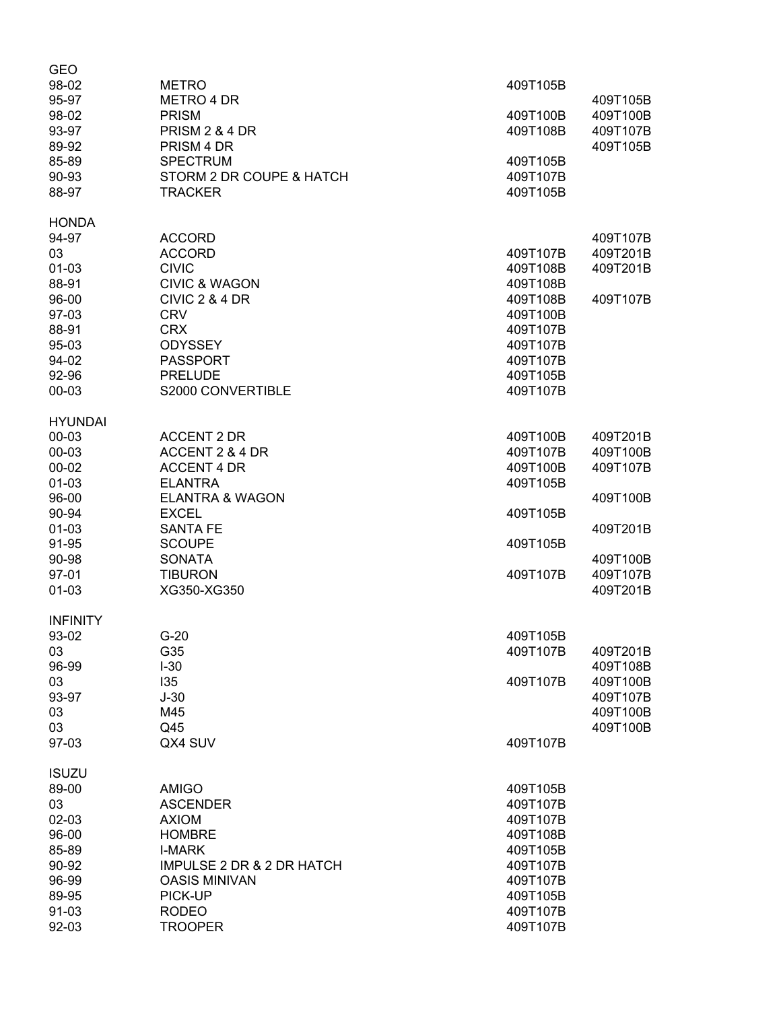| <b>GEO</b><br>98-02<br>95-97<br>98-02<br>93-97<br>89-92<br>85-89<br>90-93<br>88-97                                                | <b>METRO</b><br><b>METRO 4 DR</b><br><b>PRISM</b><br>PRISM 2 & 4 DR<br>PRISM 4 DR<br><b>SPECTRUM</b><br>STORM 2 DR COUPE & HATCH<br><b>TRACKER</b>                                                                | 409T105B<br>409T100B<br>409T108B<br>409T105B<br>409T107B<br>409T105B                                                 | 409T105B<br>409T100B<br>409T107B<br>409T105B                                                 |
|-----------------------------------------------------------------------------------------------------------------------------------|-------------------------------------------------------------------------------------------------------------------------------------------------------------------------------------------------------------------|----------------------------------------------------------------------------------------------------------------------|----------------------------------------------------------------------------------------------|
| <b>HONDA</b><br>94-97<br>03<br>$01 - 03$<br>88-91<br>96-00<br>97-03<br>88-91<br>95-03<br>94-02<br>92-96<br>00-03                  | <b>ACCORD</b><br><b>ACCORD</b><br><b>CIVIC</b><br><b>CIVIC &amp; WAGON</b><br>CIVIC 2 & 4 DR<br><b>CRV</b><br><b>CRX</b><br><b>ODYSSEY</b><br><b>PASSPORT</b><br><b>PRELUDE</b><br>S2000 CONVERTIBLE              | 409T107B<br>409T108B<br>409T108B<br>409T108B<br>409T100B<br>409T107B<br>409T107B<br>409T107B<br>409T105B<br>409T107B | 409T107B<br>409T201B<br>409T201B<br>409T107B                                                 |
| <b>HYUNDAI</b><br>00-03<br>00-03<br>$00 - 02$<br>$01 - 03$<br>96-00<br>90-94<br>$01 - 03$<br>91-95<br>90-98<br>97-01<br>$01 - 03$ | <b>ACCENT 2 DR</b><br>ACCENT 2 & 4 DR<br><b>ACCENT 4 DR</b><br><b>ELANTRA</b><br><b>ELANTRA &amp; WAGON</b><br><b>EXCEL</b><br><b>SANTA FE</b><br><b>SCOUPE</b><br><b>SONATA</b><br><b>TIBURON</b><br>XG350-XG350 | 409T100B<br>409T107B<br>409T100B<br>409T105B<br>409T105B<br>409T105B<br>409T107B                                     | 409T201B<br>409T100B<br>409T107B<br>409T100B<br>409T201B<br>409T100B<br>409T107B<br>409T201B |
| <b>INFINITY</b><br>93-02<br>03<br>96-99<br>03<br>93-97<br>03<br>03<br>97-03                                                       | $G-20$<br>G35<br>$I-30$<br>135<br>$J-30$<br>M45<br>Q45<br>QX4 SUV                                                                                                                                                 | 409T105B<br>409T107B<br>409T107B<br>409T107B                                                                         | 409T201B<br>409T108B<br>409T100B<br>409T107B<br>409T100B<br>409T100B                         |
| <b>ISUZU</b><br>89-00<br>03<br>02-03<br>96-00<br>85-89<br>90-92<br>96-99<br>89-95<br>91-03<br>92-03                               | <b>AMIGO</b><br><b>ASCENDER</b><br><b>AXIOM</b><br><b>HOMBRE</b><br><b>I-MARK</b><br><b>IMPULSE 2 DR &amp; 2 DR HATCH</b><br><b>OASIS MINIVAN</b><br>PICK-UP<br><b>RODEO</b><br><b>TROOPER</b>                    | 409T105B<br>409T107B<br>409T107B<br>409T108B<br>409T105B<br>409T107B<br>409T107B<br>409T105B<br>409T107B<br>409T107B |                                                                                              |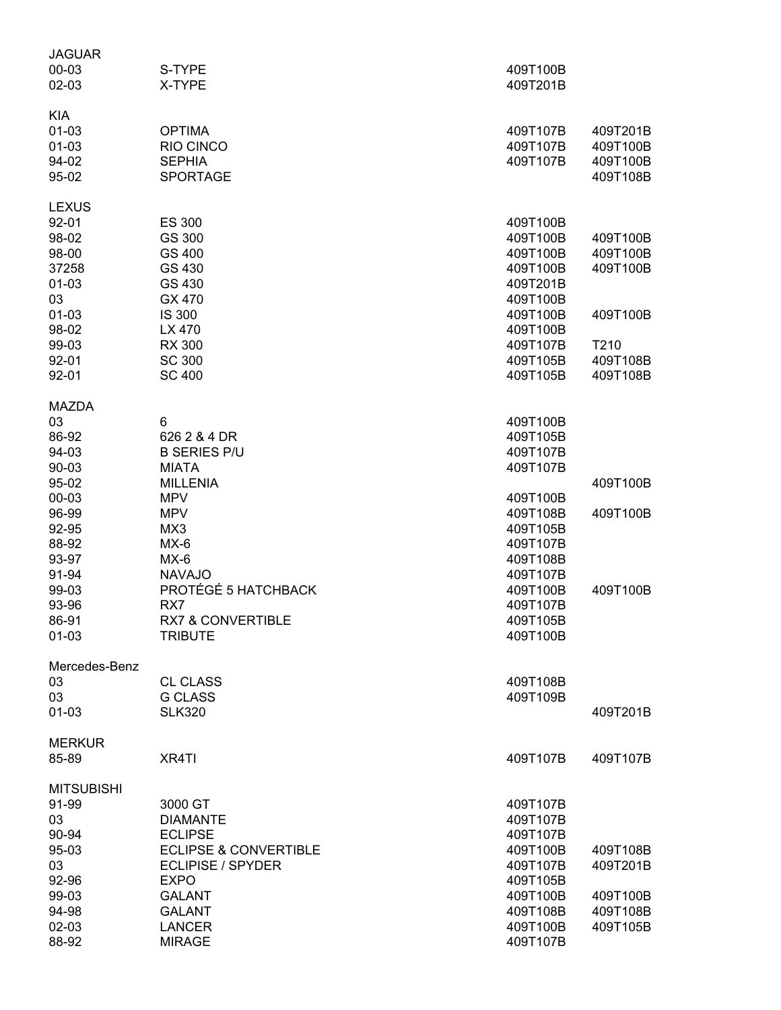| JAGUAR            |                                  |                      |                      |
|-------------------|----------------------------------|----------------------|----------------------|
| 00-03             | S-TYPE                           | 409T100B             |                      |
| 02-03             | X-TYPE                           | 409T201B             |                      |
| <b>KIA</b>        |                                  |                      |                      |
| $01 - 03$         | <b>OPTIMA</b>                    | 409T107B             | 409T201B             |
| $01-03$           | RIO CINCO                        | 409T107B             | 409T100B             |
| 94-02             | <b>SEPHIA</b>                    | 409T107B             | 409T100B             |
| 95-02             | <b>SPORTAGE</b>                  |                      | 409T108B             |
| <b>LEXUS</b>      |                                  |                      |                      |
| 92-01             | <b>ES 300</b>                    | 409T100B             |                      |
| 98-02             | GS 300                           | 409T100B             | 409T100B             |
| 98-00             | GS 400                           | 409T100B             | 409T100B             |
| 37258             | GS 430                           | 409T100B             | 409T100B             |
| 01-03             | GS 430                           | 409T201B             |                      |
| 03                | GX 470                           | 409T100B             |                      |
| 01-03             | IS 300                           | 409T100B             | 409T100B             |
| 98-02             | LX 470                           | 409T100B             |                      |
| 99-03             | <b>RX 300</b>                    | 409T107B             | T210                 |
|                   |                                  |                      |                      |
| 92-01<br>92-01    | <b>SC 300</b><br><b>SC 400</b>   | 409T105B<br>409T105B | 409T108B<br>409T108B |
|                   |                                  |                      |                      |
| <b>MAZDA</b>      |                                  |                      |                      |
| 03                | 6                                | 409T100B             |                      |
| 86-92             | 626 2 & 4 DR                     | 409T105B             |                      |
| 94-03             | <b>B SERIES P/U</b>              | 409T107B             |                      |
| 90-03             | <b>MIATA</b>                     | 409T107B             |                      |
| 95-02             | <b>MILLENIA</b>                  |                      | 409T100B             |
| 00-03             | <b>MPV</b>                       | 409T100B             |                      |
| 96-99             | <b>MPV</b>                       | 409T108B             | 409T100B             |
| 92-95             | MX3                              | 409T105B             |                      |
| 88-92             | $MX-6$                           | 409T107B             |                      |
| 93-97             | $MX-6$                           | 409T108B             |                      |
| 91-94             | <b>NAVAJO</b>                    | 409T107B             |                      |
| 99-03             | PROTÉGÉ 5 HATCHBACK              | 409T100B             | 409T100B             |
| 93-96             | RX7                              | 409T107B             |                      |
| 86-91             | <b>RX7 &amp; CONVERTIBLE</b>     | 409T105B             |                      |
| 01-03             | <b>TRIBUTE</b>                   | 409T100B             |                      |
| Mercedes-Benz     |                                  |                      |                      |
| 03                | <b>CL CLASS</b>                  | 409T108B             |                      |
| 03                | <b>G CLASS</b>                   | 409T109B             |                      |
| 01-03             | <b>SLK320</b>                    |                      | 409T201B             |
| <b>MERKUR</b>     |                                  |                      |                      |
| 85-89             | XR4TI                            | 409T107B             | 409T107B             |
| <b>MITSUBISHI</b> |                                  |                      |                      |
| 91-99             | 3000 GT                          | 409T107B             |                      |
| 03                | <b>DIAMANTE</b>                  | 409T107B             |                      |
| 90-94             | <b>ECLIPSE</b>                   | 409T107B             |                      |
| 95-03             | <b>ECLIPSE &amp; CONVERTIBLE</b> | 409T100B             | 409T108B             |
| 03                | ECLIPISE / SPYDER                | 409T107B             | 409T201B             |
| 92-96             | <b>EXPO</b>                      | 409T105B             |                      |
| 99-03             | <b>GALANT</b>                    | 409T100B             | 409T100B             |
| 94-98             | <b>GALANT</b>                    | 409T108B             | 409T108B             |
| 02-03             | <b>LANCER</b>                    | 409T100B             | 409T105B             |
| 88-92             | <b>MIRAGE</b>                    | 409T107B             |                      |
|                   |                                  |                      |                      |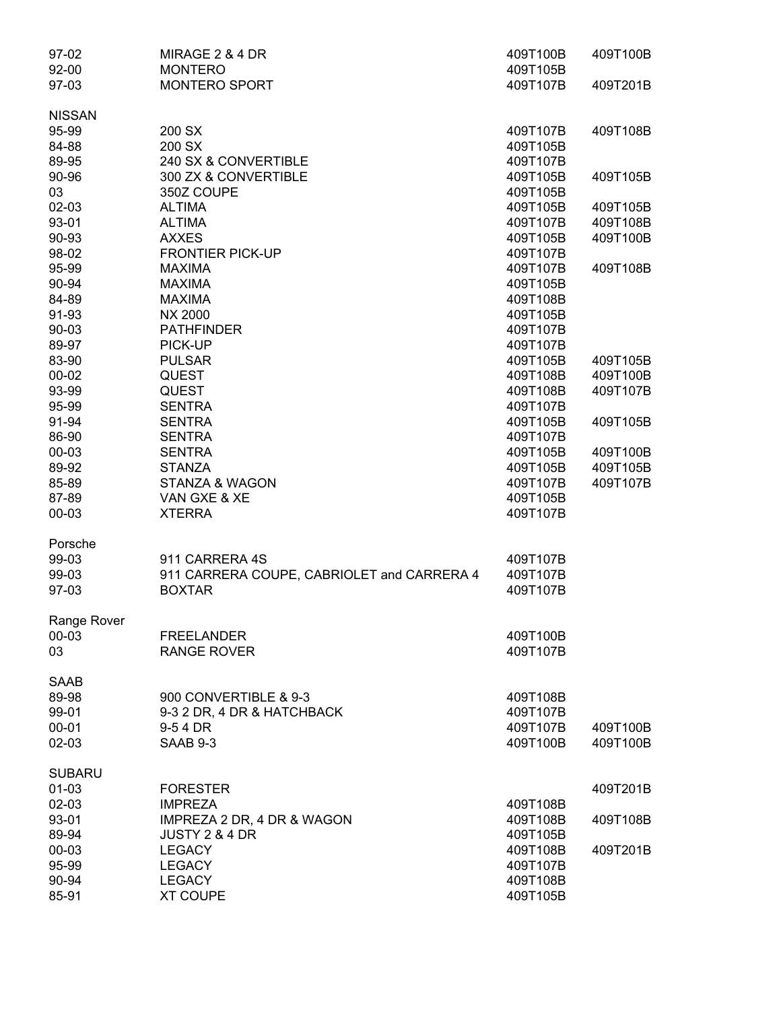| 97-02         | MIRAGE 2 & 4 DR                            | 409T100B | 409T100B |
|---------------|--------------------------------------------|----------|----------|
| 92-00         | <b>MONTERO</b>                             | 409T105B |          |
| 97-03         | MONTERO SPORT                              | 409T107B | 409T201B |
| <b>NISSAN</b> |                                            |          |          |
| 95-99         | 200 SX                                     | 409T107B | 409T108B |
| 84-88         | 200 SX                                     | 409T105B |          |
| 89-95         | 240 SX & CONVERTIBLE                       | 409T107B |          |
| 90-96         | 300 ZX & CONVERTIBLE                       | 409T105B | 409T105B |
| 03            | 350Z COUPE                                 | 409T105B |          |
| 02-03         | <b>ALTIMA</b>                              | 409T105B | 409T105B |
| 93-01         | <b>ALTIMA</b>                              | 409T107B | 409T108B |
| 90-93         | <b>AXXES</b>                               | 409T105B | 409T100B |
| 98-02         | <b>FRONTIER PICK-UP</b>                    | 409T107B |          |
| 95-99         | <b>MAXIMA</b>                              | 409T107B | 409T108B |
| 90-94         | <b>MAXIMA</b>                              | 409T105B |          |
| 84-89         | <b>MAXIMA</b>                              | 409T108B |          |
| 91-93         | <b>NX 2000</b>                             | 409T105B |          |
| 90-03         | <b>PATHFINDER</b>                          | 409T107B |          |
| 89-97         | PICK-UP                                    | 409T107B |          |
| 83-90         | <b>PULSAR</b>                              | 409T105B | 409T105B |
| $00 - 02$     | <b>QUEST</b>                               | 409T108B | 409T100B |
| 93-99         | <b>QUEST</b>                               | 409T108B | 409T107B |
| 95-99         | <b>SENTRA</b>                              | 409T107B |          |
| 91-94         | <b>SENTRA</b>                              | 409T105B | 409T105B |
| 86-90         | <b>SENTRA</b>                              | 409T107B |          |
| 00-03         | <b>SENTRA</b>                              | 409T105B | 409T100B |
| 89-92         | <b>STANZA</b>                              | 409T105B | 409T105B |
| 85-89         | <b>STANZA &amp; WAGON</b>                  | 409T107B | 409T107B |
| 87-89         | VAN GXE & XE                               | 409T105B |          |
| 00-03         | <b>XTERRA</b>                              | 409T107B |          |
| Porsche       |                                            |          |          |
| 99-03         | 911 CARRERA 4S                             | 409T107B |          |
| 99-03         | 911 CARRERA COUPE, CABRIOLET and CARRERA 4 | 409T107B |          |
| 97-03         | <b>BOXTAR</b>                              | 409T107B |          |
| Range Rover   |                                            |          |          |
| 00-03         | <b>FREELANDER</b>                          | 409T100B |          |
| 03            | <b>RANGE ROVER</b>                         | 409T107B |          |
| <b>SAAB</b>   |                                            |          |          |
| 89-98         | 900 CONVERTIBLE & 9-3                      | 409T108B |          |
| 99-01         | 9-3 2 DR, 4 DR & HATCHBACK                 | 409T107B |          |
| $00 - 01$     | 9-54 DR                                    | 409T107B | 409T100B |
| 02-03         | <b>SAAB 9-3</b>                            | 409T100B | 409T100B |
| <b>SUBARU</b> |                                            |          |          |
| 01-03         | <b>FORESTER</b>                            |          | 409T201B |
| 02-03         | <b>IMPREZA</b>                             | 409T108B |          |
| 93-01         | IMPREZA 2 DR, 4 DR & WAGON                 | 409T108B | 409T108B |
| 89-94         | JUSTY 2 & 4 DR                             | 409T105B |          |
| 00-03         | <b>LEGACY</b>                              | 409T108B | 409T201B |
| 95-99         | <b>LEGACY</b>                              | 409T107B |          |
| 90-94         | <b>LEGACY</b>                              | 409T108B |          |
| 85-91         | <b>XT COUPE</b>                            | 409T105B |          |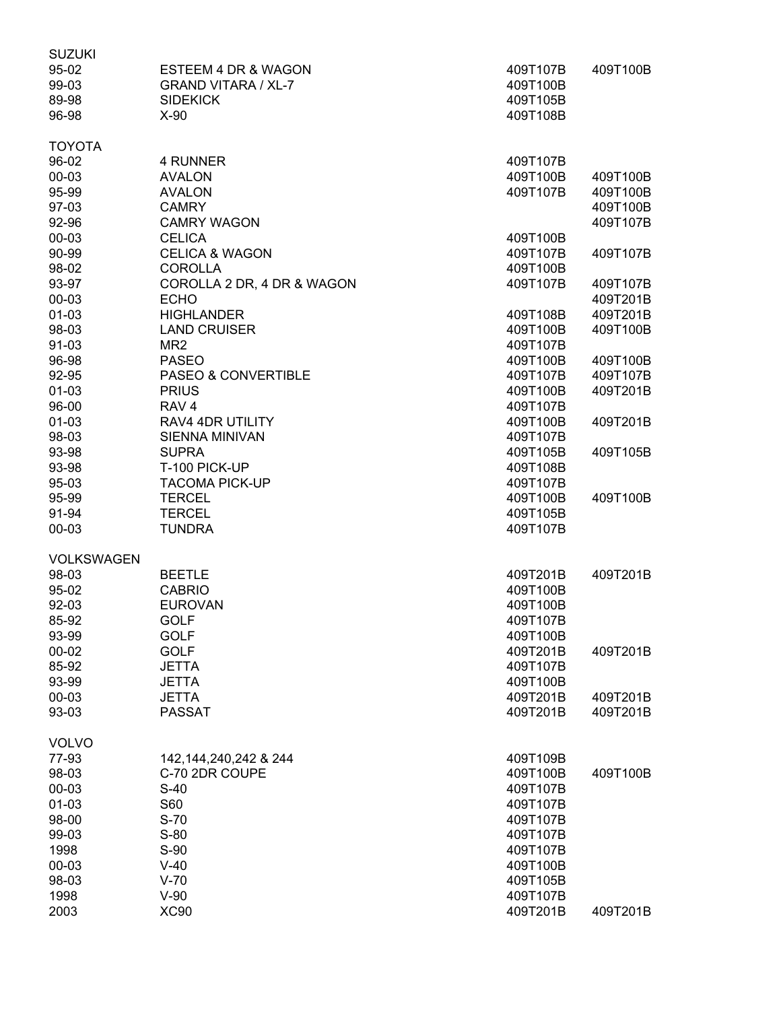| <b>SUZUKI</b>     |                                |                      |          |
|-------------------|--------------------------------|----------------------|----------|
| 95-02             | ESTEEM 4 DR & WAGON            | 409T107B             | 409T100B |
| 99-03             | <b>GRAND VITARA / XL-7</b>     | 409T100B             |          |
| 89-98             | <b>SIDEKICK</b>                | 409T105B             |          |
| 96-98             | $X-90$                         | 409T108B             |          |
|                   |                                |                      |          |
| <b>TOYOTA</b>     |                                |                      |          |
| 96-02             | 4 RUNNER                       | 409T107B             |          |
| 00-03             | <b>AVALON</b>                  | 409T100B             | 409T100B |
| 95-99             | <b>AVALON</b>                  | 409T107B             | 409T100B |
| 97-03             | <b>CAMRY</b>                   |                      | 409T100B |
| 92-96             | <b>CAMRY WAGON</b>             |                      | 409T107B |
| 00-03             | <b>CELICA</b>                  | 409T100B             |          |
| 90-99             | <b>CELICA &amp; WAGON</b>      | 409T107B             | 409T107B |
| 98-02             | <b>COROLLA</b>                 | 409T100B             |          |
| 93-97             | COROLLA 2 DR, 4 DR & WAGON     | 409T107B             | 409T107B |
| 00-03             | <b>ECHO</b>                    |                      | 409T201B |
| $01 - 03$         | <b>HIGHLANDER</b>              | 409T108B             | 409T201B |
| 98-03             | <b>LAND CRUISER</b>            | 409T100B             | 409T100B |
| 91-03             | MR <sub>2</sub>                | 409T107B             |          |
| 96-98             | <b>PASEO</b>                   | 409T100B             | 409T100B |
| 92-95             | <b>PASEO &amp; CONVERTIBLE</b> | 409T107B             | 409T107B |
| $01 - 03$         | <b>PRIUS</b>                   | 409T100B             | 409T201B |
| 96-00             | RAV <sub>4</sub>               | 409T107B             |          |
| $01 - 03$         | RAV4 4DR UTILITY               | 409T100B             | 409T201B |
| 98-03             | <b>SIENNA MINIVAN</b>          | 409T107B             |          |
| 93-98             |                                | 409T105B             |          |
|                   | <b>SUPRA</b>                   |                      | 409T105B |
| 93-98             | T-100 PICK-UP                  | 409T108B<br>409T107B |          |
| 95-03             | <b>TACOMA PICK-UP</b>          |                      |          |
| 95-99             | <b>TERCEL</b>                  | 409T100B             | 409T100B |
| 91-94             | <b>TERCEL</b>                  | 409T105B             |          |
| 00-03             | <b>TUNDRA</b>                  | 409T107B             |          |
| <b>VOLKSWAGEN</b> |                                |                      |          |
| 98-03             | <b>BEETLE</b>                  | 409T201B             | 409T201B |
| 95-02             | <b>CABRIO</b>                  | 409T100B             |          |
| 92-03             | <b>EUROVAN</b>                 | 409T100B             |          |
| 85-92             | GOLF                           | 409T107B             |          |
| 93-99             | <b>GOLF</b>                    | 409T100B             |          |
| $00 - 02$         | <b>GOLF</b>                    | 409T201B             | 409T201B |
| 85-92             | <b>JETTA</b>                   | 409T107B             |          |
| 93-99             | <b>JETTA</b>                   | 409T100B             |          |
| 00-03             | <b>JETTA</b>                   | 409T201B             | 409T201B |
| 93-03             | <b>PASSAT</b>                  | 409T201B             | 409T201B |
|                   |                                |                      |          |
| <b>VOLVO</b>      |                                |                      |          |
| 77-93             | 142, 144, 240, 242 & 244       | 409T109B             |          |
| 98-03             | C-70 2DR COUPE                 | 409T100B             | 409T100B |
| 00-03             | $S-40$                         | 409T107B             |          |
| $01 - 03$         | S60                            | 409T107B             |          |
| 98-00             | $S-70$                         | 409T107B             |          |
| 99-03             | $S-80$                         | 409T107B             |          |
| 1998              | $S-90$                         | 409T107B             |          |
| 00-03             | $V-40$                         | 409T100B             |          |
| 98-03             | $V-70$                         | 409T105B             |          |
| 1998              | $V-90$                         | 409T107B             |          |
| 2003              | <b>XC90</b>                    | 409T201B             | 409T201B |
|                   |                                |                      |          |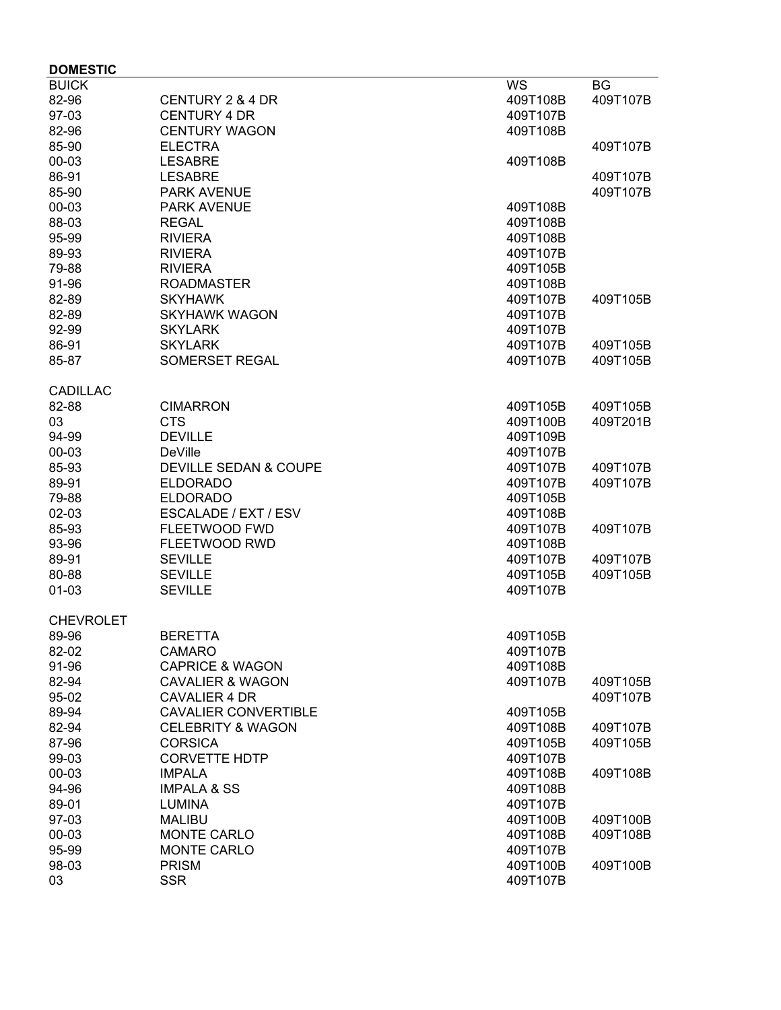| <b>DOMESTIC</b>  |                                  |          |          |
|------------------|----------------------------------|----------|----------|
| <b>BUICK</b>     |                                  | WS       | BG       |
| 82-96            | CENTURY 2 & 4 DR                 | 409T108B | 409T107B |
| 97-03            | <b>CENTURY 4 DR</b>              | 409T107B |          |
| 82-96            | <b>CENTURY WAGON</b>             | 409T108B |          |
| 85-90            | <b>ELECTRA</b>                   |          | 409T107B |
| 00-03            | <b>LESABRE</b>                   | 409T108B |          |
| 86-91            | <b>LESABRE</b>                   |          | 409T107B |
| 85-90            | <b>PARK AVENUE</b>               |          | 409T107B |
| 00-03            | <b>PARK AVENUE</b>               | 409T108B |          |
| 88-03            | <b>REGAL</b>                     | 409T108B |          |
| 95-99            | <b>RIVIERA</b>                   | 409T108B |          |
| 89-93            | <b>RIVIERA</b>                   | 409T107B |          |
| 79-88            | <b>RIVIERA</b>                   | 409T105B |          |
| 91-96            | <b>ROADMASTER</b>                | 409T108B |          |
| 82-89            | <b>SKYHAWK</b>                   | 409T107B | 409T105B |
| 82-89            | <b>SKYHAWK WAGON</b>             | 409T107B |          |
| 92-99            | <b>SKYLARK</b>                   | 409T107B |          |
| 86-91            | <b>SKYLARK</b>                   | 409T107B | 409T105B |
| 85-87            | <b>SOMERSET REGAL</b>            | 409T107B | 409T105B |
|                  |                                  |          |          |
| <b>CADILLAC</b>  |                                  |          |          |
| 82-88            | <b>CIMARRON</b>                  | 409T105B | 409T105B |
| 03<br>94-99      | <b>CTS</b><br><b>DEVILLE</b>     | 409T100B | 409T201B |
|                  |                                  | 409T109B |          |
| 00-03            | DeVille                          | 409T107B |          |
| 85-93            | <b>DEVILLE SEDAN &amp; COUPE</b> | 409T107B | 409T107B |
| 89-91            | <b>ELDORADO</b>                  | 409T107B | 409T107B |
| 79-88            | <b>ELDORADO</b>                  | 409T105B |          |
| 02-03            | ESCALADE / EXT / ESV             | 409T108B |          |
| 85-93            | <b>FLEETWOOD FWD</b>             | 409T107B | 409T107B |
| 93-96            | FLEETWOOD RWD                    | 409T108B |          |
| 89-91            | <b>SEVILLE</b>                   | 409T107B | 409T107B |
| 80-88            | <b>SEVILLE</b>                   | 409T105B | 409T105B |
| $01 - 03$        | <b>SEVILLE</b>                   | 409T107B |          |
| <b>CHEVROLET</b> |                                  |          |          |
| 89-96            | <b>BERETTA</b>                   | 409T105B |          |
| 82-02            | <b>CAMARO</b>                    | 409T107B |          |
| 91-96            | <b>CAPRICE &amp; WAGON</b>       | 409T108B |          |
| 82-94            | <b>CAVALIER &amp; WAGON</b>      | 409T107B | 409T105B |
| 95-02            | <b>CAVALIER 4 DR</b>             |          | 409T107B |
| 89-94            | <b>CAVALIER CONVERTIBLE</b>      | 409T105B |          |
| 82-94            | <b>CELEBRITY &amp; WAGON</b>     | 409T108B | 409T107B |
| 87-96            | <b>CORSICA</b>                   | 409T105B | 409T105B |
| 99-03            | <b>CORVETTE HDTP</b>             | 409T107B |          |
| 00-03            | <b>IMPALA</b>                    | 409T108B | 409T108B |
| 94-96            | <b>IMPALA &amp; SS</b>           | 409T108B |          |
| 89-01            | <b>LUMINA</b>                    | 409T107B |          |
| 97-03            | <b>MALIBU</b>                    | 409T100B | 409T100B |
| 00-03            | <b>MONTE CARLO</b>               | 409T108B | 409T108B |
| 95-99            | MONTE CARLO                      | 409T107B |          |
| 98-03            | <b>PRISM</b>                     | 409T100B | 409T100B |
| 03               | <b>SSR</b>                       | 409T107B |          |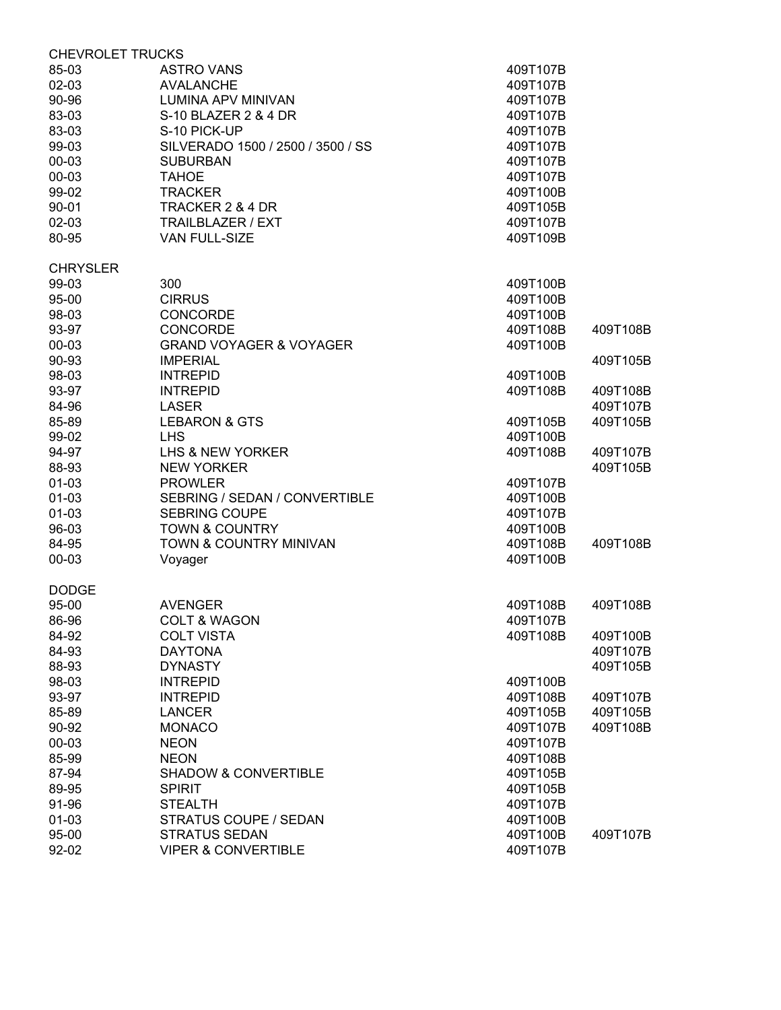| <b>CHEVROLET TRUCKS</b> |                                    |          |          |
|-------------------------|------------------------------------|----------|----------|
| 85-03                   | <b>ASTRO VANS</b>                  | 409T107B |          |
| 02-03                   | <b>AVALANCHE</b>                   | 409T107B |          |
| 90-96                   | <b>LUMINA APV MINIVAN</b>          | 409T107B |          |
| 83-03                   | S-10 BLAZER 2 & 4 DR               | 409T107B |          |
| 83-03                   | S-10 PICK-UP                       | 409T107B |          |
| 99-03                   | SILVERADO 1500 / 2500 / 3500 / SS  | 409T107B |          |
| 00-03                   | <b>SUBURBAN</b>                    | 409T107B |          |
| 00-03                   | <b>TAHOE</b>                       | 409T107B |          |
| 99-02                   | <b>TRACKER</b>                     | 409T100B |          |
| 90-01                   | TRACKER 2 & 4 DR                   | 409T105B |          |
| 02-03                   | TRAILBLAZER / EXT                  | 409T107B |          |
| 80-95                   | VAN FULL-SIZE                      | 409T109B |          |
|                         |                                    |          |          |
| <b>CHRYSLER</b>         |                                    |          |          |
| 99-03                   | 300                                | 409T100B |          |
| 95-00                   | <b>CIRRUS</b>                      | 409T100B |          |
| 98-03                   | <b>CONCORDE</b>                    | 409T100B |          |
| 93-97                   | <b>CONCORDE</b>                    | 409T108B | 409T108B |
| 00-03                   | <b>GRAND VOYAGER &amp; VOYAGER</b> | 409T100B |          |
| 90-93                   | <b>IMPERIAL</b>                    |          | 409T105B |
| 98-03                   | <b>INTREPID</b>                    | 409T100B |          |
| 93-97                   | <b>INTREPID</b>                    | 409T108B | 409T108B |
| 84-96                   | <b>LASER</b>                       |          | 409T107B |
| 85-89                   | <b>LEBARON &amp; GTS</b>           | 409T105B | 409T105B |
| 99-02                   | <b>LHS</b>                         | 409T100B |          |
| 94-97                   | LHS & NEW YORKER                   | 409T108B | 409T107B |
| 88-93                   | <b>NEW YORKER</b>                  |          | 409T105B |
| $01-03$                 | <b>PROWLER</b>                     |          |          |
|                         |                                    | 409T107B |          |
| $01-03$                 | SEBRING / SEDAN / CONVERTIBLE      | 409T100B |          |
| $01-03$                 | <b>SEBRING COUPE</b>               | 409T107B |          |
| 96-03                   | <b>TOWN &amp; COUNTRY</b>          | 409T100B |          |
| 84-95                   | TOWN & COUNTRY MINIVAN             | 409T108B | 409T108B |
| 00-03                   | Voyager                            | 409T100B |          |
| <b>DODGE</b>            |                                    |          |          |
| 95-00                   | <b>AVENGER</b>                     | 409T108B | 409T108B |
| 86-96                   | <b>COLT &amp; WAGON</b>            | 409T107B |          |
| 84-92                   | <b>COLT VISTA</b>                  | 409T108B | 409T100B |
| 84-93                   | <b>DAYTONA</b>                     |          | 409T107B |
| 88-93                   | <b>DYNASTY</b>                     |          | 409T105B |
| 98-03                   | <b>INTREPID</b>                    | 409T100B |          |
| 93-97                   | <b>INTREPID</b>                    | 409T108B | 409T107B |
| 85-89                   | <b>LANCER</b>                      | 409T105B | 409T105B |
| 90-92                   | <b>MONACO</b>                      | 409T107B | 409T108B |
| 00-03                   | <b>NEON</b>                        | 409T107B |          |
| 85-99                   | <b>NEON</b>                        | 409T108B |          |
| 87-94                   | <b>SHADOW &amp; CONVERTIBLE</b>    | 409T105B |          |
| 89-95                   | <b>SPIRIT</b>                      | 409T105B |          |
| 91-96                   |                                    |          |          |
|                         | <b>STEALTH</b>                     | 409T107B |          |
| $01 - 03$               | STRATUS COUPE / SEDAN              | 409T100B |          |
| 95-00                   | <b>STRATUS SEDAN</b>               | 409T100B | 409T107B |
| 92-02                   | <b>VIPER &amp; CONVERTIBLE</b>     | 409T107B |          |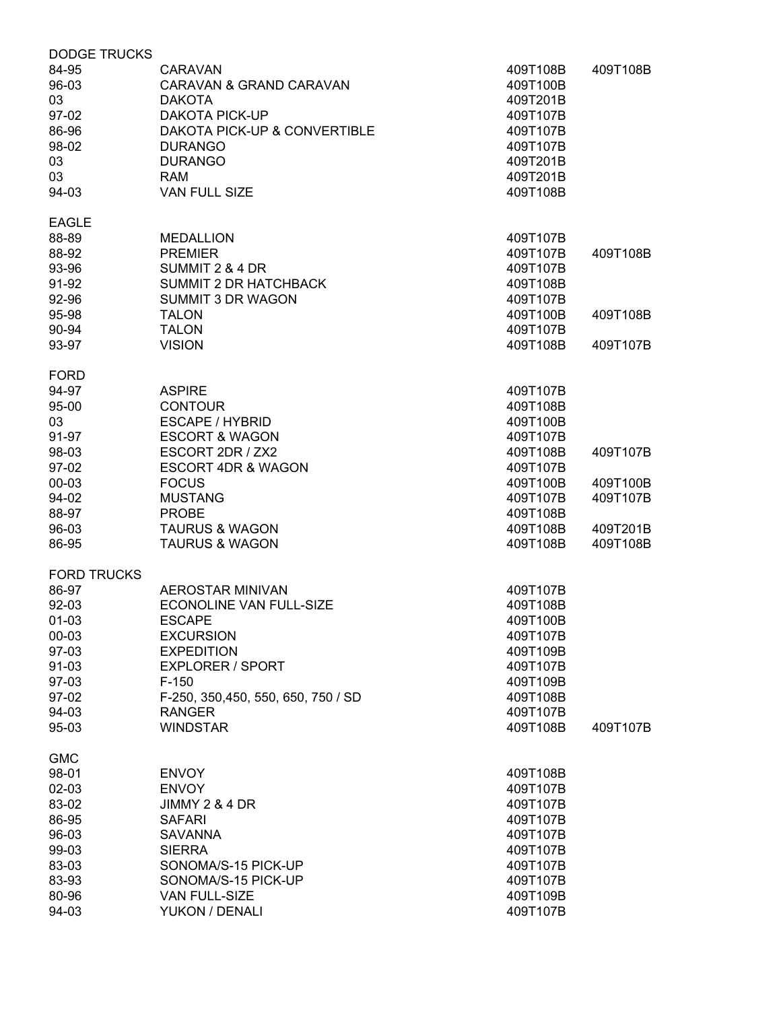| <b>DODGE TRUCKS</b>  |                                                            |                                  |          |
|----------------------|------------------------------------------------------------|----------------------------------|----------|
| 84-95<br>96-03<br>03 | <b>CARAVAN</b><br>CARAVAN & GRAND CARAVAN<br><b>DAKOTA</b> | 409T108B<br>409T100B<br>409T201B | 409T108B |
| 97-02                | <b>DAKOTA PICK-UP</b>                                      | 409T107B                         |          |
| 86-96                | DAKOTA PICK-UP & CONVERTIBLE                               | 409T107B                         |          |
| 98-02                | <b>DURANGO</b>                                             | 409T107B                         |          |
| 03                   | <b>DURANGO</b>                                             | 409T201B                         |          |
| 03                   | <b>RAM</b>                                                 | 409T201B                         |          |
| 94-03                | <b>VAN FULL SIZE</b>                                       | 409T108B                         |          |
| <b>EAGLE</b>         |                                                            |                                  |          |
| 88-89                | <b>MEDALLION</b>                                           | 409T107B                         |          |
| 88-92                | <b>PREMIER</b>                                             | 409T107B                         | 409T108B |
| 93-96                | SUMMIT 2 & 4 DR                                            | 409T107B                         |          |
| 91-92                | <b>SUMMIT 2 DR HATCHBACK</b>                               | 409T108B                         |          |
| 92-96                | SUMMIT 3 DR WAGON                                          | 409T107B                         |          |
| 95-98                | <b>TALON</b>                                               | 409T100B                         | 409T108B |
| 90-94                | <b>TALON</b>                                               | 409T107B                         |          |
| 93-97                | <b>VISION</b>                                              | 409T108B                         | 409T107B |
|                      |                                                            |                                  |          |
| <b>FORD</b>          |                                                            |                                  |          |
| 94-97                | <b>ASPIRE</b>                                              | 409T107B                         |          |
| 95-00                | <b>CONTOUR</b>                                             | 409T108B                         |          |
| 03                   | ESCAPE / HYBRID                                            | 409T100B                         |          |
| 91-97                | <b>ESCORT &amp; WAGON</b>                                  | 409T107B                         |          |
| 98-03                | ESCORT 2DR / ZX2                                           | 409T108B                         | 409T107B |
| 97-02                | <b>ESCORT 4DR &amp; WAGON</b>                              | 409T107B                         |          |
| 00-03                | <b>FOCUS</b>                                               | 409T100B                         | 409T100B |
| 94-02                | <b>MUSTANG</b>                                             | 409T107B                         | 409T107B |
| 88-97                | <b>PROBE</b>                                               | 409T108B                         |          |
| 96-03                | <b>TAURUS &amp; WAGON</b>                                  | 409T108B                         | 409T201B |
| 86-95                | <b>TAURUS &amp; WAGON</b>                                  | 409T108B                         | 409T108B |
| <b>FORD TRUCKS</b>   |                                                            |                                  |          |
| 86-97                | <b>AEROSTAR MINIVAN</b>                                    | 409T107B                         |          |
| 92-03                | <b>ECONOLINE VAN FULL-SIZE</b>                             | 409T108B                         |          |
| 01-03                | <b>ESCAPE</b>                                              | 409T100B                         |          |
| 00-03                | <b>EXCURSION</b>                                           | 409T107B                         |          |
| 97-03                | <b>EXPEDITION</b>                                          | 409T109B                         |          |
| 91-03                | <b>EXPLORER / SPORT</b>                                    | 409T107B                         |          |
|                      |                                                            |                                  |          |
| 97-03                | $F-150$                                                    | 409T109B                         |          |
| 97-02                | F-250, 350, 450, 550, 650, 750 / SD                        | 409T108B                         |          |
| 94-03<br>95-03       | <b>RANGER</b><br><b>WINDSTAR</b>                           | 409T107B<br>409T108B             | 409T107B |
|                      |                                                            |                                  |          |
| <b>GMC</b>           |                                                            |                                  |          |
| 98-01                | <b>ENVOY</b>                                               | 409T108B                         |          |
| 02-03                | <b>ENVOY</b>                                               | 409T107B                         |          |
| 83-02                | <b>JIMMY 2 &amp; 4 DR</b>                                  | 409T107B                         |          |
| 86-95                | <b>SAFARI</b>                                              | 409T107B                         |          |
| 96-03                | <b>SAVANNA</b>                                             | 409T107B                         |          |
| 99-03                | <b>SIERRA</b>                                              | 409T107B                         |          |
| 83-03                | SONOMA/S-15 PICK-UP                                        | 409T107B                         |          |
| 83-93                | SONOMA/S-15 PICK-UP                                        | 409T107B                         |          |
| 80-96                | VAN FULL-SIZE                                              | 409T109B                         |          |
| 94-03                | YUKON / DENALI                                             | 409T107B                         |          |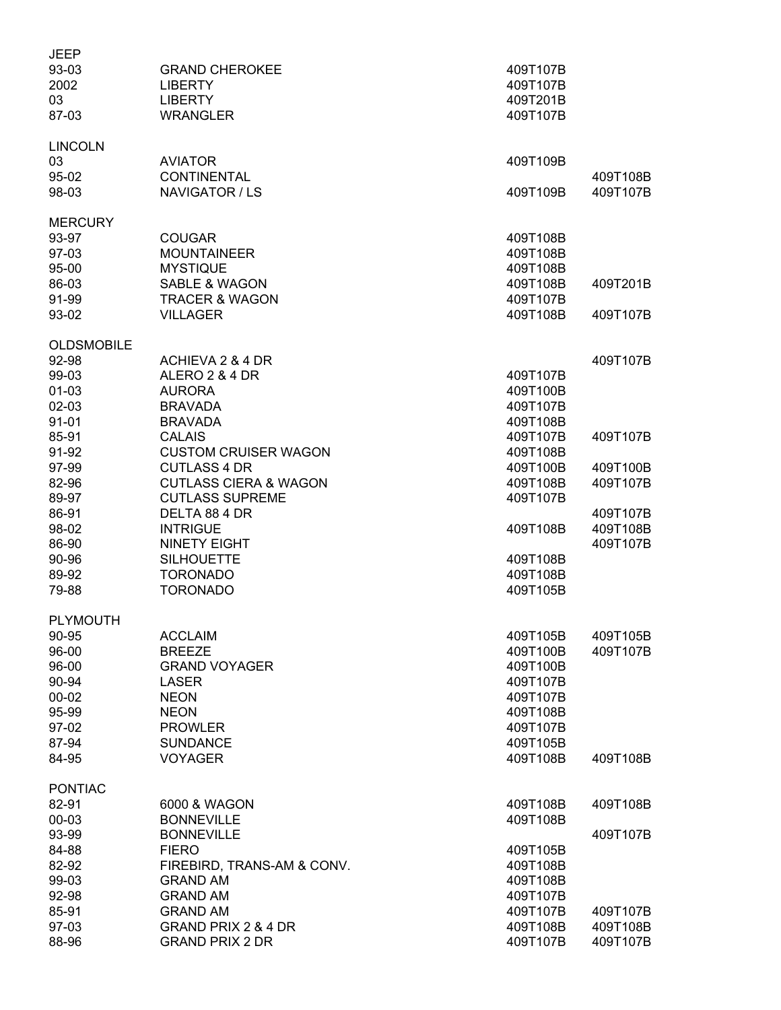| <b>JEEP</b>       |                                  |          |          |
|-------------------|----------------------------------|----------|----------|
| 93-03             | <b>GRAND CHEROKEE</b>            | 409T107B |          |
| 2002              | <b>LIBERTY</b>                   | 409T107B |          |
| 03                | <b>LIBERTY</b>                   | 409T201B |          |
| 87-03             | <b>WRANGLER</b>                  | 409T107B |          |
|                   |                                  |          |          |
| <b>LINCOLN</b>    |                                  |          |          |
| 03                | <b>AVIATOR</b>                   | 409T109B |          |
| 95-02             | <b>CONTINENTAL</b>               |          | 409T108B |
| 98-03             | NAVIGATOR / LS                   | 409T109B | 409T107B |
| <b>MERCURY</b>    |                                  |          |          |
| 93-97             | <b>COUGAR</b>                    | 409T108B |          |
| 97-03             | <b>MOUNTAINEER</b>               | 409T108B |          |
|                   |                                  |          |          |
| 95-00             | <b>MYSTIQUE</b>                  | 409T108B |          |
| 86-03             | <b>SABLE &amp; WAGON</b>         | 409T108B | 409T201B |
| 91-99             | <b>TRACER &amp; WAGON</b>        | 409T107B |          |
| 93-02             | <b>VILLAGER</b>                  | 409T108B | 409T107B |
| <b>OLDSMOBILE</b> |                                  |          |          |
| 92-98             | ACHIEVA 2 & 4 DR                 |          | 409T107B |
| 99-03             | ALERO 2 & 4 DR                   | 409T107B |          |
| $01-03$           | <b>AURORA</b>                    | 409T100B |          |
| 02-03             | <b>BRAVADA</b>                   | 409T107B |          |
| $91 - 01$         | <b>BRAVADA</b>                   | 409T108B |          |
| 85-91             | <b>CALAIS</b>                    | 409T107B | 409T107B |
|                   |                                  |          |          |
| 91-92             | <b>CUSTOM CRUISER WAGON</b>      | 409T108B |          |
| 97-99             | <b>CUTLASS 4 DR</b>              | 409T100B | 409T100B |
| 82-96             | <b>CUTLASS CIERA &amp; WAGON</b> | 409T108B | 409T107B |
| 89-97             | <b>CUTLASS SUPREME</b>           | 409T107B |          |
| 86-91             | DELTA 88 4 DR                    |          | 409T107B |
| 98-02             | <b>INTRIGUE</b>                  | 409T108B | 409T108B |
| 86-90             | <b>NINETY EIGHT</b>              |          | 409T107B |
| 90-96             | <b>SILHOUETTE</b>                | 409T108B |          |
| 89-92             | <b>TORONADO</b>                  | 409T108B |          |
| 79-88             | <b>TORONADO</b>                  | 409T105B |          |
| <b>PLYMOUTH</b>   |                                  |          |          |
| 90-95             | <b>ACCLAIM</b>                   | 409T105B | 409T105B |
| 96-00             | <b>BREEZE</b>                    | 409T100B | 409T107B |
| 96-00             | <b>GRAND VOYAGER</b>             | 409T100B |          |
|                   |                                  |          |          |
| 90-94             | <b>LASER</b>                     | 409T107B |          |
| $00 - 02$         | <b>NEON</b>                      | 409T107B |          |
| 95-99             | <b>NEON</b>                      | 409T108B |          |
| 97-02             | <b>PROWLER</b>                   | 409T107B |          |
| 87-94             | <b>SUNDANCE</b>                  | 409T105B |          |
| 84-95             | <b>VOYAGER</b>                   | 409T108B | 409T108B |
| <b>PONTIAC</b>    |                                  |          |          |
| 82-91             | 6000 & WAGON                     | 409T108B | 409T108B |
| 00-03             | <b>BONNEVILLE</b>                | 409T108B |          |
| 93-99             | <b>BONNEVILLE</b>                |          | 409T107B |
| 84-88             | <b>FIERO</b>                     | 409T105B |          |
| 82-92             | FIREBIRD, TRANS-AM & CONV.       | 409T108B |          |
| 99-03             | <b>GRAND AM</b>                  | 409T108B |          |
|                   |                                  |          |          |
| 92-98             | <b>GRAND AM</b>                  | 409T107B |          |
| 85-91             | <b>GRAND AM</b>                  | 409T107B | 409T107B |
| 97-03             | GRAND PRIX 2 & 4 DR              | 409T108B | 409T108B |
| 88-96             | <b>GRAND PRIX 2 DR</b>           | 409T107B | 409T107B |